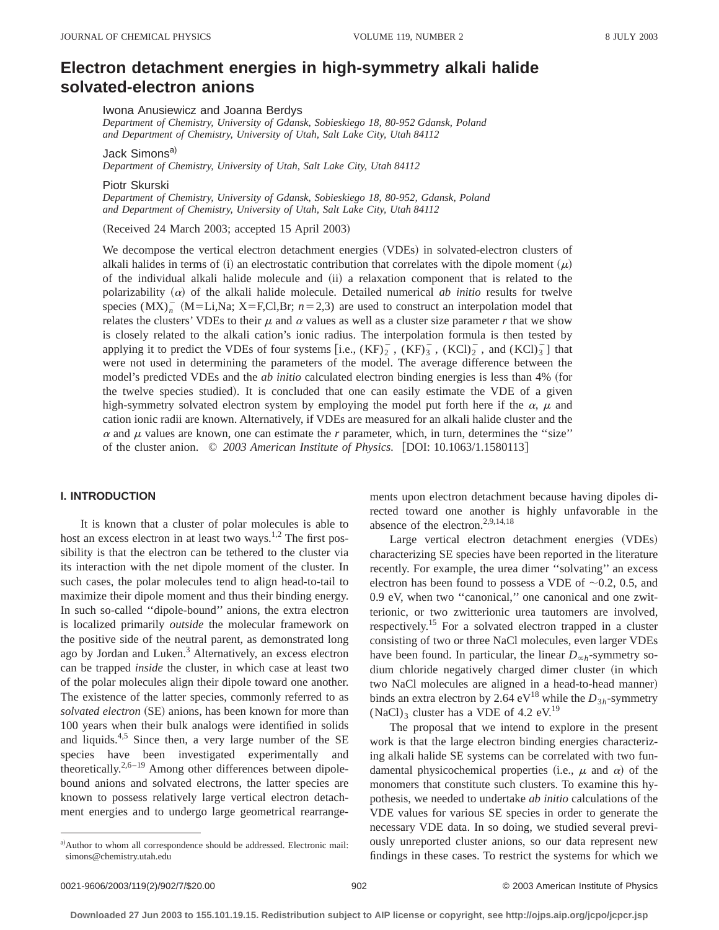# **Electron detachment energies in high-symmetry alkali halide solvated-electron anions**

Iwona Anusiewicz and Joanna Berdys

*Department of Chemistry, University of Gdansk, Sobieskiego 18, 80-952 Gdansk, Poland and Department of Chemistry, University of Utah, Salt Lake City, Utah 84112*

Jack Simons<sup>a)</sup>

*Department of Chemistry, University of Utah, Salt Lake City, Utah 84112*

Piotr Skurski

*Department of Chemistry, University of Gdansk, Sobieskiego 18, 80-952, Gdansk, Poland and Department of Chemistry, University of Utah, Salt Lake City, Utah 84112*

(Received 24 March 2003; accepted 15 April 2003)

We decompose the vertical electron detachment energies (VDEs) in solvated-electron clusters of alkali halides in terms of (i) an electrostatic contribution that correlates with the dipole moment  $(\mu)$ of the individual alkali halide molecule and (ii) a relaxation component that is related to the polarizability  $(\alpha)$  of the alkali halide molecule. Detailed numerical *ab initio* results for twelve species  $(MX)^{-}_{n}$  (M=Li,Na; X=F,Cl,Br;  $n=2,3$ ) are used to construct an interpolation model that relates the clusters' VDEs to their  $\mu$  and  $\alpha$  values as well as a cluster size parameter  $r$  that we show is closely related to the alkali cation's ionic radius. The interpolation formula is then tested by applying it to predict the VDEs of four systems [i.e.,  $(KF)_{2}^{-}$ ,  $(KF)_{3}^{-}$ ,  $(KCl)_{2}^{-}$ , and  $(KCl)_{3}^{-}$ ] that were not used in determining the parameters of the model. The average difference between the model's predicted VDEs and the *ab initio* calculated electron binding energies is less than 4% (for the twelve species studied). It is concluded that one can easily estimate the VDE of a given high-symmetry solvated electron system by employing the model put forth here if the  $\alpha$ ,  $\mu$  and cation ionic radii are known. Alternatively, if VDEs are measured for an alkali halide cluster and the  $\alpha$  and  $\mu$  values are known, one can estimate the *r* parameter, which, in turn, determines the "size" of the cluster anion.  $\degree$  2003 American Institute of Physics. [DOI: 10.1063/1.1580113]

# **I. INTRODUCTION**

It is known that a cluster of polar molecules is able to host an excess electron in at least two ways.<sup>1,2</sup> The first possibility is that the electron can be tethered to the cluster via its interaction with the net dipole moment of the cluster. In such cases, the polar molecules tend to align head-to-tail to maximize their dipole moment and thus their binding energy. In such so-called ''dipole-bound'' anions, the extra electron is localized primarily *outside* the molecular framework on the positive side of the neutral parent, as demonstrated long ago by Jordan and Luken.<sup>3</sup> Alternatively, an excess electron can be trapped *inside* the cluster, in which case at least two of the polar molecules align their dipole toward one another. The existence of the latter species, commonly referred to as solvated electron (SE) anions, has been known for more than 100 years when their bulk analogs were identified in solids and liquids. $4.5$  Since then, a very large number of the SE species have been investigated experimentally and theoretically.<sup>2,6–19</sup> Among other differences between dipolebound anions and solvated electrons, the latter species are known to possess relatively large vertical electron detachment energies and to undergo large geometrical rearrangements upon electron detachment because having dipoles directed toward one another is highly unfavorable in the absence of the electron.2,9,14,18

Large vertical electron detachment energies (VDEs) characterizing SE species have been reported in the literature recently. For example, the urea dimer ''solvating'' an excess electron has been found to possess a VDE of  $\sim 0.2$ , 0.5, and 0.9 eV, when two ''canonical,'' one canonical and one zwitterionic, or two zwitterionic urea tautomers are involved, respectively.15 For a solvated electron trapped in a cluster consisting of two or three NaCl molecules, even larger VDEs have been found. In particular, the linear  $D_{\infty h}$ -symmetry sodium chloride negatively charged dimer cluster (in which two NaCl molecules are aligned in a head-to-head manner) binds an extra electron by 2.64 eV<sup>18</sup> while the  $D_{3h}$ -symmetry  $(NaCl)$ <sub>3</sub> cluster has a VDE of 4.2 eV.<sup>19</sup>

The proposal that we intend to explore in the present work is that the large electron binding energies characterizing alkali halide SE systems can be correlated with two fundamental physicochemical properties (i.e.,  $\mu$  and  $\alpha$ ) of the monomers that constitute such clusters. To examine this hypothesis, we needed to undertake *ab initio* calculations of the VDE values for various SE species in order to generate the necessary VDE data. In so doing, we studied several previously unreported cluster anions, so our data represent new findings in these cases. To restrict the systems for which we

a)Author to whom all correspondence should be addressed. Electronic mail: simons@chemistry.utah.edu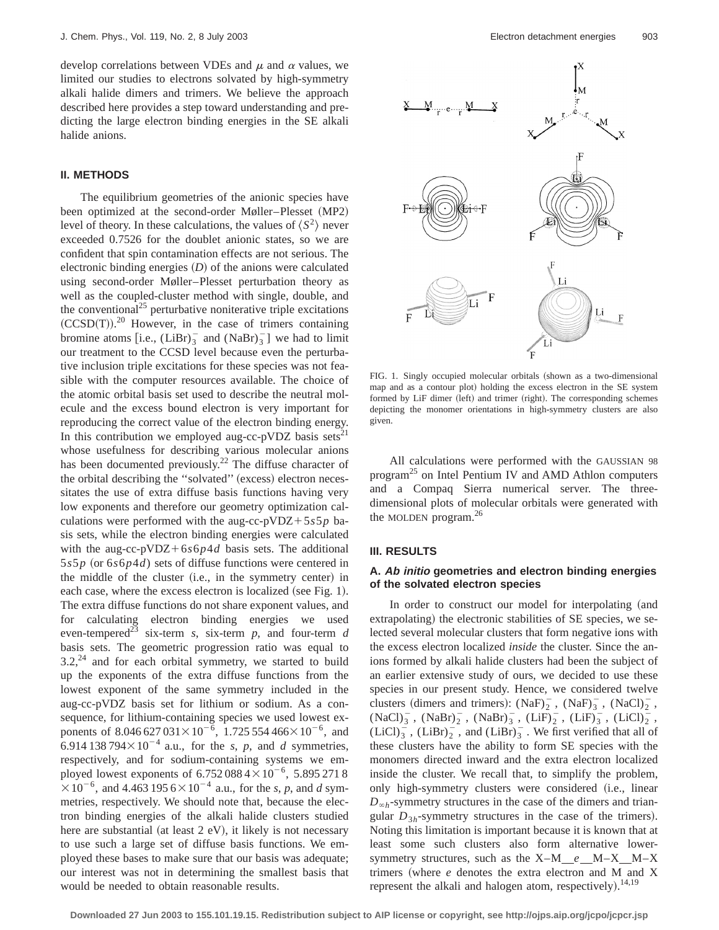develop correlations between VDEs and  $\mu$  and  $\alpha$  values, we limited our studies to electrons solvated by high-symmetry alkali halide dimers and trimers. We believe the approach described here provides a step toward understanding and predicting the large electron binding energies in the SE alkali halide anions.

# **II. METHODS**

The equilibrium geometries of the anionic species have been optimized at the second-order Møller–Plesset (MP2) level of theory. In these calculations, the values of  $\langle S^2 \rangle$  never exceeded 0.7526 for the doublet anionic states, so we are confident that spin contamination effects are not serious. The electronic binding energies  $(D)$  of the anions were calculated using second-order Møller–Plesset perturbation theory as well as the coupled-cluster method with single, double, and the conventional<sup>25</sup> perturbative noniterative triple excitations  $(CCSD(T)).^{20}$  However, in the case of trimers containing bromine atoms  $[i.e., (LiBr)_{3}^{-}$  and  $(NaBr)_{3}^{-}]$  we had to limit our treatment to the CCSD level because even the perturbative inclusion triple excitations for these species was not feasible with the computer resources available. The choice of the atomic orbital basis set used to describe the neutral molecule and the excess bound electron is very important for reproducing the correct value of the electron binding energy. In this contribution we employed aug-cc-pVDZ basis sets<sup>21</sup> whose usefulness for describing various molecular anions has been documented previously.<sup>22</sup> The diffuse character of the orbital describing the "solvated" (excess) electron necessitates the use of extra diffuse basis functions having very low exponents and therefore our geometry optimization calculations were performed with the aug-cc-pVDZ+5 $s5p$  basis sets, while the electron binding energies were calculated with the aug-cc-pVDZ+6 $s6p4d$  basis sets. The additional  $5s5p$  (or  $6s6p4d$ ) sets of diffuse functions were centered in the middle of the cluster (i.e., in the symmetry center) in each case, where the excess electron is localized (see Fig. 1). The extra diffuse functions do not share exponent values, and for calculating electron binding energies we used even-tempered<sup>23</sup> six-term *s*, six-term *p*, and four-term *d* basis sets. The geometric progression ratio was equal to  $3.2<sup>24</sup>$  and for each orbital symmetry, we started to build up the exponents of the extra diffuse functions from the lowest exponent of the same symmetry included in the aug-cc-pVDZ basis set for lithium or sodium. As a consequence, for lithium-containing species we used lowest exponents of 8.046 627 031 $\times$  10<sup>-6</sup>, 1.725 554 466 $\times$  10<sup>-6</sup>, and 6.914 138 794 $\times$ 10<sup>-4</sup> a.u., for the *s*, *p*, and *d* symmetries, respectively, and for sodium-containing systems we employed lowest exponents of  $6.752\,088\,4 \times 10^{-6}$ , 5.895 271 8  $\times 10^{-6}$ , and 4.463 195 6  $\times 10^{-4}$  a.u., for the *s*, *p*, and *d* symmetries, respectively. We should note that, because the electron binding energies of the alkali halide clusters studied here are substantial (at least  $2$  eV), it likely is not necessary to use such a large set of diffuse basis functions. We employed these bases to make sure that our basis was adequate; our interest was not in determining the smallest basis that would be needed to obtain reasonable results.



FIG. 1. Singly occupied molecular orbitals (shown as a two-dimensional map and as a contour plot) holding the excess electron in the SE system formed by LiF dimer (left) and trimer (right). The corresponding schemes depicting the monomer orientations in high-symmetry clusters are also given.

All calculations were performed with the GAUSSIAN 98 program<sup>25</sup> on Intel Pentium IV and AMD Athlon computers and a Compaq Sierra numerical server. The threedimensional plots of molecular orbitals were generated with the MOLDEN program.<sup>26</sup>

#### **III. RESULTS**

## **A. Ab initio geometries and electron binding energies of the solvated electron species**

In order to construct our model for interpolating (and extrapolating) the electronic stabilities of SE species, we selected several molecular clusters that form negative ions with the excess electron localized *inside* the cluster. Since the anions formed by alkali halide clusters had been the subject of an earlier extensive study of ours, we decided to use these species in our present study. Hence, we considered twelve clusters (dimers and trimers):  $(NaF)^{-}$ ,  $(NaF)^{-}$ ,  $(NaCl)^{-}$ ,  $(NaCl)<sub>3</sub>$ ,  $(NaBr)<sub>2</sub>$ ,  $(NaBr)<sub>3</sub>$ ,  $(LiF)<sub>2</sub>$ ,  $(LiF)<sub>3</sub>$ ,  $(LiCl)<sub>2</sub>$ ,  $(LiCl)<sub>3</sub>$ ,  $(LiBr)<sub>2</sub>$ , and  $(LiBr)<sub>3</sub>$ . We first verified that all of these clusters have the ability to form SE species with the monomers directed inward and the extra electron localized inside the cluster. We recall that, to simplify the problem, only high-symmetry clusters were considered (i.e., linear  $D_{\infty h}$ -symmetry structures in the case of the dimers and triangular  $D_{3h}$ -symmetry structures in the case of the trimers). Noting this limitation is important because it is known that at least some such clusters also form alternative lowersymmetry structures, such as the X–M *e* M–X M–X trimers (where  $e$  denotes the extra electron and M and X represent the alkali and halogen atom, respectively).  $14,19$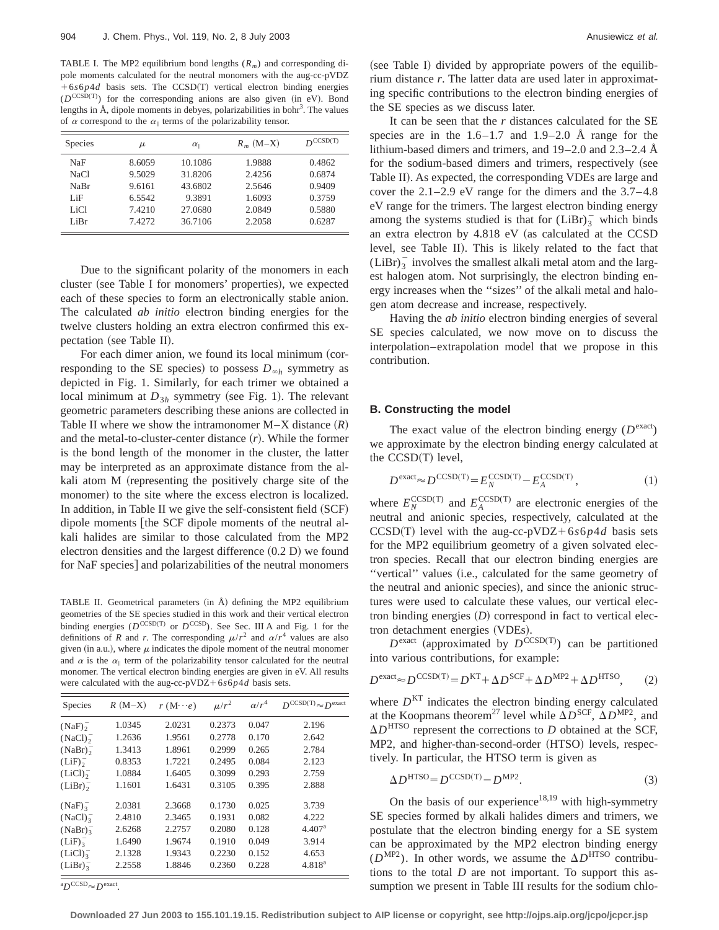TABLE I. The MP2 equilibrium bond lengths  $(R_m)$  and corresponding dipole moments calculated for the neutral monomers with the aug-cc-pVDZ  $+6s6p4d$  basis sets. The CCSD(T) vertical electron binding energies  $(D^{\text{CCSD(T)}})$  for the corresponding anions are also given (in eV). Bond lengths in Å, dipole moments in debyes, polarizabilities in bohr<sup>3</sup>. The values of  $\alpha$  correspond to the  $\alpha_{\parallel}$  terms of the polarizability tensor.

| Species | μ      | $\alpha_{\parallel}$ | $R_m$ (M-X) | $D^{CCSD(T)}$ |
|---------|--------|----------------------|-------------|---------------|
| NaF     | 8.6059 | 10.1086              | 1.9888      | 0.4862        |
| NaCl    | 9.5029 | 31.8206              | 2.4256      | 0.6874        |
| NaBr    | 9.6161 | 43.6802              | 2.5646      | 0.9409        |
| LiF     | 6.5542 | 9.3891               | 1.6093      | 0.3759        |
| LiCl    | 7.4210 | 27.0680              | 2.0849      | 0.5880        |
| LiBr    | 7.4272 | 36.7106              | 2.2058      | 0.6287        |

Due to the significant polarity of the monomers in each cluster (see Table I for monomers' properties), we expected each of these species to form an electronically stable anion. The calculated *ab initio* electron binding energies for the twelve clusters holding an extra electron confirmed this expectation (see Table II).

For each dimer anion, we found its local minimum (corresponding to the SE species) to possess  $D_{\infty h}$  symmetry as depicted in Fig. 1. Similarly, for each trimer we obtained a local minimum at  $D_{3h}$  symmetry (see Fig. 1). The relevant geometric parameters describing these anions are collected in Table II where we show the intramonomer  $M-X$  distance  $(R)$ and the metal-to-cluster-center distance  $(r)$ . While the former is the bond length of the monomer in the cluster, the latter may be interpreted as an approximate distance from the alkali atom M (representing the positively charge site of the monomer) to the site where the excess electron is localized. In addition, in Table II we give the self-consistent field  $(SCF)$ dipole moments [the SCF dipole moments of the neutral alkali halides are similar to those calculated from the MP2 electron densities and the largest difference  $(0.2 D)$  we found for NaF species] and polarizabilities of the neutral monomers

TABLE II. Geometrical parameters  $(in \mathring{A})$  defining the MP2 equilibrium geometries of the SE species studied in this work and their vertical electron binding energies ( $D^{\text{CCSD(T)}}$  or  $D^{\text{CCSD}}$ ). See Sec. III A and Fig. 1 for the definitions of *R* and *r*. The corresponding  $\mu/r^2$  and  $\alpha/r^4$  values are also given (in a.u.), where  $\mu$  indicates the dipole moment of the neutral monomer and  $\alpha$  is the  $\alpha_{\parallel}$  term of the polarizability tensor calculated for the neutral monomer. The vertical electron binding energies are given in eV. All results were calculated with the aug-cc-pVDZ+6 $s6p4d$  basis sets.

| Species             | $R(M-X)$ | $r(M\cdots e)$ | $\mu/r^2$ | $\alpha/r^4$ | $D^{CCSD(T)} \approx D^{\text{exact}}$ |
|---------------------|----------|----------------|-----------|--------------|----------------------------------------|
| $(NaF)_{2}^{-}$     | 1.0345   | 2.0231         | 0.2373    | 0.047        | 2.196                                  |
| (NaCl) <sub>2</sub> | 1.2636   | 1.9561         | 0.2778    | 0.170        | 2.642                                  |
| $(NaBr)_{2}^{-}$    | 1.3413   | 1.8961         | 0.2999    | 0.265        | 2.784                                  |
| (LiF) <sub>2</sub>  | 0.8353   | 1.7221         | 0.2495    | 0.084        | 2.123                                  |
| (LiCl) <sub>2</sub> | 1.0884   | 1.6405         | 0.3099    | 0.293        | 2.759                                  |
| $(LiBr)_{2}^{-}$    | 1.1601   | 1.6431         | 0.3105    | 0.395        | 2.888                                  |
| (NaF) <sub>2</sub>  | 2.0381   | 2.3668         | 0.1730    | 0.025        | 3.739                                  |
| (NaCl) <sub>3</sub> | 2.4810   | 2.3465         | 0.1931    | 0.082        | 4.222                                  |
| $(NaBr)_{3}^{-}$    | 2.6268   | 2.2757         | 0.2080    | 0.128        | 4.407 <sup>a</sup>                     |
| (LiF) <sub>2</sub>  | 1.6490   | 1.9674         | 0.1910    | 0.049        | 3.914                                  |
| (LiCl) <sub>2</sub> | 2.1328   | 1.9343         | 0.2230    | 0.152        | 4.653                                  |
| (LiBr) <sub>2</sub> | 2.2558   | 1.8846         | 0.2360    | 0.228        | $4.818^{a}$                            |

 ${}^{\rm a}D^{\rm CCSD} \approx D^{\rm exact}.$ 

(see Table I) divided by appropriate powers of the equilibrium distance *r*. The latter data are used later in approximating specific contributions to the electron binding energies of the SE species as we discuss later.

It can be seen that the *r* distances calculated for the SE species are in the  $1.6-1.7$  and  $1.9-2.0$  Å range for the lithium-based dimers and trimers, and 19–2.0 and 2.3–2.4 Å for the sodium-based dimers and trimers, respectively (see Table II). As expected, the corresponding VDEs are large and cover the 2.1–2.9 eV range for the dimers and the 3.7–4.8 eV range for the trimers. The largest electron binding energy among the systems studied is that for  $(LiBr)_3^-$  which binds an extra electron by  $4.818$  eV (as calculated at the CCSD level, see Table II). This is likely related to the fact that  $(LiBr)$ <sup>-</sup><sub>3</sub> involves the smallest alkali metal atom and the largest halogen atom. Not surprisingly, the electron binding energy increases when the ''sizes'' of the alkali metal and halogen atom decrease and increase, respectively.

Having the *ab initio* electron binding energies of several SE species calculated, we now move on to discuss the interpolation–extrapolation model that we propose in this contribution.

#### **B. Constructing the model**

The exact value of the electron binding energy  $(D^{\text{exact}})$ we approximate by the electron binding energy calculated at the CCSD(T) level,

$$
D^{\text{exact}} \approx D^{\text{CCSD(T)}} = E_N^{\text{CCSD(T)}} - E_A^{\text{CCSD(T)}},\tag{1}
$$

where  $E_N^{\text{CCSD(T)}}$  and  $E_A^{\text{CCSD(T)}}$  are electronic energies of the neutral and anionic species, respectively, calculated at the  $CCSD(T)$  level with the aug-cc-pVDZ+6*s*6*p4d* basis sets for the MP2 equilibrium geometry of a given solvated electron species. Recall that our electron binding energies are "vertical" values (i.e., calculated for the same geometry of the neutral and anionic species), and since the anionic structures were used to calculate these values, our vertical electron binding energies  $(D)$  correspond in fact to vertical electron detachment energies (VDEs).

 $D^{\text{exact}}$  (approximated by  $D^{\text{CCSD(T)}}$ ) can be partitioned into various contributions, for example:

$$
D^{\text{exact}} \approx D^{\text{CCSD(T)}} = D^{\text{KT}} + \Delta D^{\text{SCF}} + \Delta D^{\text{MP2}} + \Delta D^{\text{HTSO}},\tag{2}
$$

where  $D<sup>KT</sup>$  indicates the electron binding energy calculated at the Koopmans theorem<sup>27</sup> level while  $\Delta D^{\text{SCF}}$ ,  $\Delta D^{\text{MP2}}$ , and  $\Delta D^{\text{HTSO}}$  represent the corrections to *D* obtained at the SCF, MP2, and higher-than-second-order (HTSO) levels, respectively. In particular, the HTSO term is given as

$$
\Delta D^{\text{HTSO}} = D^{\text{CCSD(T)}} - D^{\text{MP2}}.
$$
\n(3)

On the basis of our experience<sup>18,19</sup> with high-symmetry SE species formed by alkali halides dimers and trimers, we postulate that the electron binding energy for a SE system can be approximated by the MP2 electron binding energy  $(D<sup>MP2</sup>)$ . In other words, we assume the  $\Delta D<sup>HTSO</sup>$  contributions to the total *D* are not important. To support this assumption we present in Table III results for the sodium chlo-

**Downloaded 27 Jun 2003 to 155.101.19.15. Redistribution subject to AIP license or copyright, see http://ojps.aip.org/jcpo/jcpcr.jsp**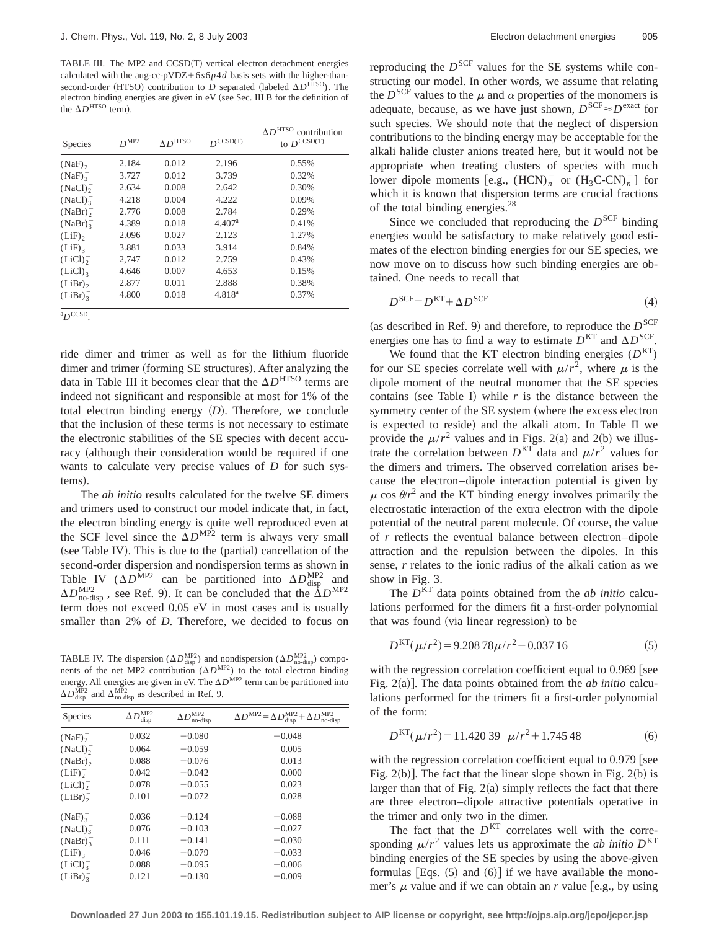TABLE III. The MP2 and CCSD(T) vertical electron detachment energies calculated with the aug-cc-pVDZ+6 $s6p4d$  basis sets with the higher-thansecond-order (HTSO) contribution to *D* separated (labeled  $\Delta D^{\text{HTSO}}$ ). The electron binding energies are given in  $eV$  (see Sec. III B for the definition of the  $\Delta D^{\text{HTSO}}$  term).

| <b>Species</b>      | $D^{MP2}$ | AD <sup>HTSO</sup> | $D^{CCSD(T)}$      | AD <sup>HTSO</sup><br>contribution<br>to $D^{\text{CCSD(T)}}$ |
|---------------------|-----------|--------------------|--------------------|---------------------------------------------------------------|
| $(NaF)_{2}^{-}$     | 2.184     | 0.012              | 2.196              | 0.55%                                                         |
| (NaF) <sub>3</sub>  | 3.727     | 0.012              | 3.739              | 0.32%                                                         |
| (NaCl) <sub>2</sub> | 2.634     | 0.008              | 2.642              | 0.30%                                                         |
| (NaCl) <sub>3</sub> | 4.218     | 0.004              | 4.222              | 0.09%                                                         |
| $(NaBr)_{2}^{-}$    | 2.776     | 0.008              | 2.784              | 0.29%                                                         |
| (NaBr) <sub>2</sub> | 4.389     | 0.018              | 4.407 <sup>a</sup> | 0.41%                                                         |
| (LiF) <sub>2</sub>  | 2.096     | 0.027              | 2.123              | 1.27%                                                         |
| (LiF) <sub>3</sub>  | 3.881     | 0.033              | 3.914              | 0.84%                                                         |
| (LiCl) <sub>2</sub> | 2,747     | 0.012              | 2.759              | 0.43%                                                         |
| (LiCl) <sub>3</sub> | 4.646     | 0.007              | 4.653              | 0.15%                                                         |
| $(LiBr)_{2}^{-}$    | 2.877     | 0.011              | 2.888              | 0.38%                                                         |
| (LiBr) <sub>3</sub> | 4.800     | 0.018              | $4.818^{a}$        | 0.37%                                                         |

<sup>a</sup>D<sup>CCSD</sup>.

ride dimer and trimer as well as for the lithium fluoride dimer and trimer (forming SE structures). After analyzing the data in Table III it becomes clear that the  $\Delta D^{\rm HTSO}$  terms are indeed not significant and responsible at most for 1% of the total electron binding energy  $(D)$ . Therefore, we conclude that the inclusion of these terms is not necessary to estimate the electronic stabilities of the SE species with decent accuracy (although their consideration would be required if one wants to calculate very precise values of *D* for such systems).

The *ab initio* results calculated for the twelve SE dimers and trimers used to construct our model indicate that, in fact, the electron binding energy is quite well reproduced even at the SCF level since the  $\Delta D^{\text{MP2}}$  term is always very small  $(see Table IV).$  This is due to the  $(partial)$  cancellation of the second-order dispersion and nondispersion terms as shown in Table IV  $(\Delta D^{\text{MP2}})$  can be partitioned into  $\Delta D_{\text{disp}}^{\text{MP2}}$  and  $\Delta D_{\text{no-disp}}^{\text{MP2}}$ , see Ref. 9). It can be concluded that the  $\Delta D^{\text{MP2}}$ term does not exceed 0.05 eV in most cases and is usually smaller than 2% of *D*. Therefore, we decided to focus on

TABLE IV. The dispersion ( $\Delta D_{\text{disp}}^{\text{MP2}}$ ) and nondispersion ( $\Delta D_{\text{no-disp}}^{\text{MP2}}$ ) components of the net MP2 contribution  $(\Delta D^{MP2})$  to the total electron binding energy. All energies are given in eV. The  $\Delta D^{MP2}$  term can be partitioned into  $\Delta D_{\text{disp}}^{\text{MP2}}$  and  $\Delta_{\text{no-disp}}^{\text{MP2}}$  as described in Ref. 9.

| $\Delta D^{\text{MP2}}$<br>disp | $\Delta D^{\text{MP2}}$<br>no-disp | $\Delta D^{\rm MP2}\! =\! \Delta D_{\rm disp}^{\rm MP2}\! +\! \Delta D_{\rm no\text{-}di}^{\rm MP2}$<br>no-disp |
|---------------------------------|------------------------------------|-----------------------------------------------------------------------------------------------------------------|
| 0.032                           | $-0.080$                           | $-0.048$                                                                                                        |
| 0.064                           | $-0.059$                           | 0.005                                                                                                           |
| 0.088                           | $-0.076$                           | 0.013                                                                                                           |
| 0.042                           | $-0.042$                           | 0.000                                                                                                           |
| 0.078                           | $-0.055$                           | 0.023                                                                                                           |
| 0.101                           | $-0.072$                           | 0.028                                                                                                           |
| 0.036                           | $-0.124$                           | $-0.088$                                                                                                        |
| 0.076                           | $-0.103$                           | $-0.027$                                                                                                        |
| 0.111                           | $-0.141$                           | $-0.030$                                                                                                        |
| 0.046                           | $-0.079$                           | $-0.033$                                                                                                        |
| 0.088                           | $-0.095$                           | $-0.006$                                                                                                        |
| 0.121                           | $-0.130$                           | $-0.009$                                                                                                        |
|                                 |                                    |                                                                                                                 |

reproducing the  $D^{SCF}$  values for the SE systems while constructing our model. In other words, we assume that relating the  $D^{\text{SCF}}$  values to the  $\mu$  and  $\alpha$  properties of the monomers is adequate, because, as we have just shown,  $D^{\text{SCF}} \approx D^{\text{exact}}$  for such species. We should note that the neglect of dispersion contributions to the binding energy may be acceptable for the alkali halide cluster anions treated here, but it would not be appropriate when treating clusters of species with much lower dipole moments [e.g.,  $(HCN)_n^-$  or  $(H_3C-CN)_n^-$ ] for which it is known that dispersion terms are crucial fractions of the total binding energies.<sup>28</sup>

Since we concluded that reproducing the  $D<sup>SCF</sup>$  binding energies would be satisfactory to make relatively good estimates of the electron binding energies for our SE species, we now move on to discuss how such binding energies are obtained. One needs to recall that

$$
D^{\text{SCF}} = D^{\text{KT}} + \Delta D^{\text{SCF}} \tag{4}
$$

(as described in Ref. 9) and therefore, to reproduce the  $D^{\text{SCF}}$ energies one has to find a way to estimate  $D<sup>KT</sup>$  and  $\Delta D<sup>SCF</sup>$ .

We found that the KT electron binding energies  $(D<sup>KT</sup>)$ for our SE species correlate well with  $\mu/r^2$ , where  $\mu$  is the dipole moment of the neutral monomer that the SE species contains (see Table I) while  $r$  is the distance between the symmetry center of the SE system (where the excess electron is expected to reside) and the alkali atom. In Table II we provide the  $\mu/r^2$  values and in Figs. 2(a) and 2(b) we illustrate the correlation between  $D<sup>KT</sup>$  data and  $\mu/r^2$  values for the dimers and trimers. The observed correlation arises because the electron–dipole interaction potential is given by  $\mu$  cos  $\theta/r^2$  and the KT binding energy involves primarily the electrostatic interaction of the extra electron with the dipole potential of the neutral parent molecule. Of course, the value of *r* reflects the eventual balance between electron–dipole attraction and the repulsion between the dipoles. In this sense, *r* relates to the ionic radius of the alkali cation as we show in Fig. 3.

The *D*KT data points obtained from the *ab initio* calculations performed for the dimers fit a first-order polynomial that was found (via linear regression) to be

$$
DKT(\mu/r2) = 9.20878\mu/r2 - 0.03716
$$
 (5)

with the regression correlation coefficient equal to  $0.969$  [see Fig. 2(a)]. The data points obtained from the *ab initio* calculations performed for the trimers fit a first-order polynomial of the form:

$$
DKT(\mu/r2) = 11.42039 \mu/r2 + 1.74548
$$
 (6)

with the regression correlation coefficient equal to  $0.979$  see Fig.  $2(b)$ ]. The fact that the linear slope shown in Fig.  $2(b)$  is larger than that of Fig.  $2(a)$  simply reflects the fact that there are three electron–dipole attractive potentials operative in the trimer and only two in the dimer.

The fact that the  $D<sup>KT</sup>$  correlates well with the corresponding  $\mu/r^2$  values lets us approximate the *ab initio*  $D<sup>KT</sup>$ binding energies of the SE species by using the above-given formulas [Eqs.  $(5)$  and  $(6)$ ] if we have available the monomer's  $\mu$  value and if we can obtain an *r* value [e.g., by using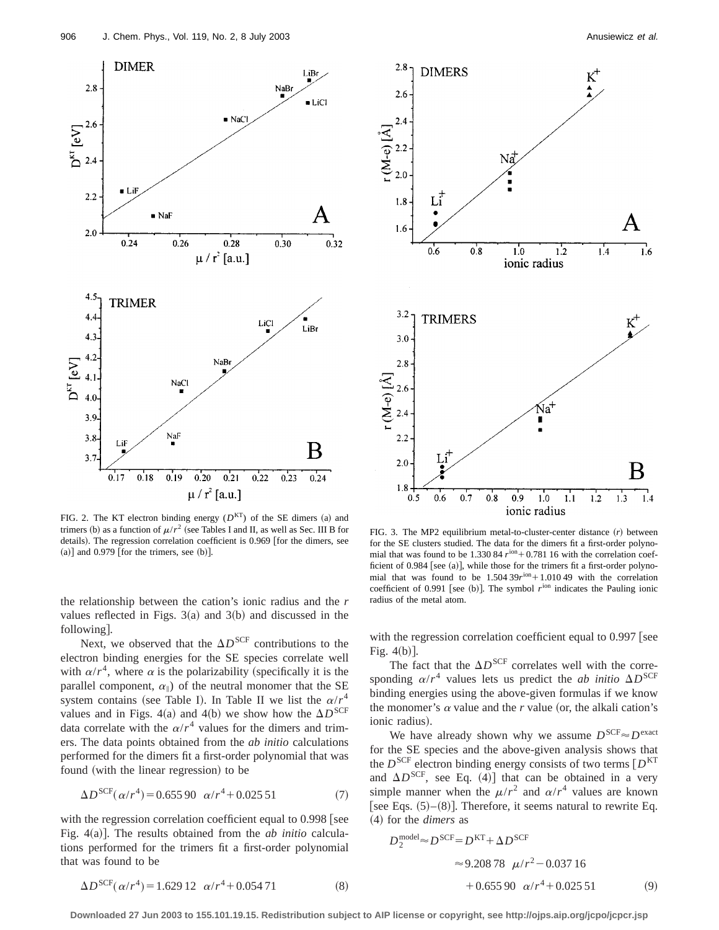

FIG. 2. The KT electron binding energy  $(D<sup>KT</sup>)$  of the SE dimers (a) and trimers (b) as a function of  $\mu/r^2$  (see Tables I and II, as well as Sec. III B for details). The regression correlation coefficient is 0.969 [for the dimers, see  $(a)$ ] and 0.979 [for the trimers, see  $(b)$ ].

the relationship between the cation's ionic radius and the *r* values reflected in Figs.  $3(a)$  and  $3(b)$  and discussed in the following].

Next, we observed that the  $\Delta D^{\text{SCF}}$  contributions to the electron binding energies for the SE species correlate well with  $\alpha/r^4$ , where  $\alpha$  is the polarizability (specifically it is the parallel component,  $\alpha_{\parallel}$ ) of the neutral monomer that the SE system contains (see Table I). In Table II we list the  $\alpha/r^4$ values and in Figs. 4(a) and 4(b) we show how the  $\Delta D^{\text{SCF}}$ data correlate with the  $\alpha/r^4$  values for the dimers and trimers. The data points obtained from the *ab initio* calculations performed for the dimers fit a first-order polynomial that was found (with the linear regression) to be

$$
\Delta D^{\text{SCF}}(\alpha/r^4) = 0.655\,90 \ \alpha/r^4 + 0.025\,51\tag{7}
$$

with the regression correlation coefficient equal to  $0.998$  [see Fig.  $4(a)$ ]. The results obtained from the *ab initio* calculations performed for the trimers fit a first-order polynomial that was found to be



FIG. 3. The MP2 equilibrium metal-to-cluster-center distance  $(r)$  between for the SE clusters studied. The data for the dimers fit a first-order polynomial that was found to be 1.330 84  $r^{\text{ion}}$  + 0.781 16 with the correlation coefficient of 0.984 [see (a)], while those for the trimers fit a first-order polynomial that was found to be  $1.504\,39r^{ion}+1.010\,49$  with the correlation coefficient of 0.991 [see (b)]. The symbol  $r<sup>ion</sup>$  indicates the Pauling ionic radius of the metal atom.

with the regression correlation coefficient equal to 0.997 [see Fig.  $4(b)$ ].

The fact that the  $\Delta D^{\text{SCF}}$  correlates well with the corresponding  $\alpha/r^4$  values lets us predict the *ab initio*  $\Delta D^{\text{SCF}}$ binding energies using the above-given formulas if we know the monomer's  $\alpha$  value and the  $r$  value (or, the alkali cation's ionic radius).

We have already shown why we assume  $D^{\text{SCF}} \approx D^{\text{exact}}$ for the SE species and the above-given analysis shows that the  $D^{\text{SCF}}$  electron binding energy consists of two terms  $[D^{\text{KT}}]$ and  $\Delta D^{\text{SCF}}$ , see Eq. (4)] that can be obtained in a very simple manner when the  $\mu/r^2$  and  $\alpha/r^4$  values are known [see Eqs.  $(5)–(8)$ ]. Therefore, it seems natural to rewrite Eq. ~4! for the *dimers* as

$$
D_2^{\text{model}} \approx D^{\text{SCF}} = D^{\text{KT}} + \Delta D^{\text{SCF}}
$$
  

$$
\approx 9.20878 \ \mu/r^2 - 0.03716
$$
  

$$
+ 0.65590 \ \alpha/r^4 + 0.02551
$$
 (9)

**Downloaded 27 Jun 2003 to 155.101.19.15. Redistribution subject to AIP license or copyright, see http://ojps.aip.org/jcpo/jcpcr.jsp**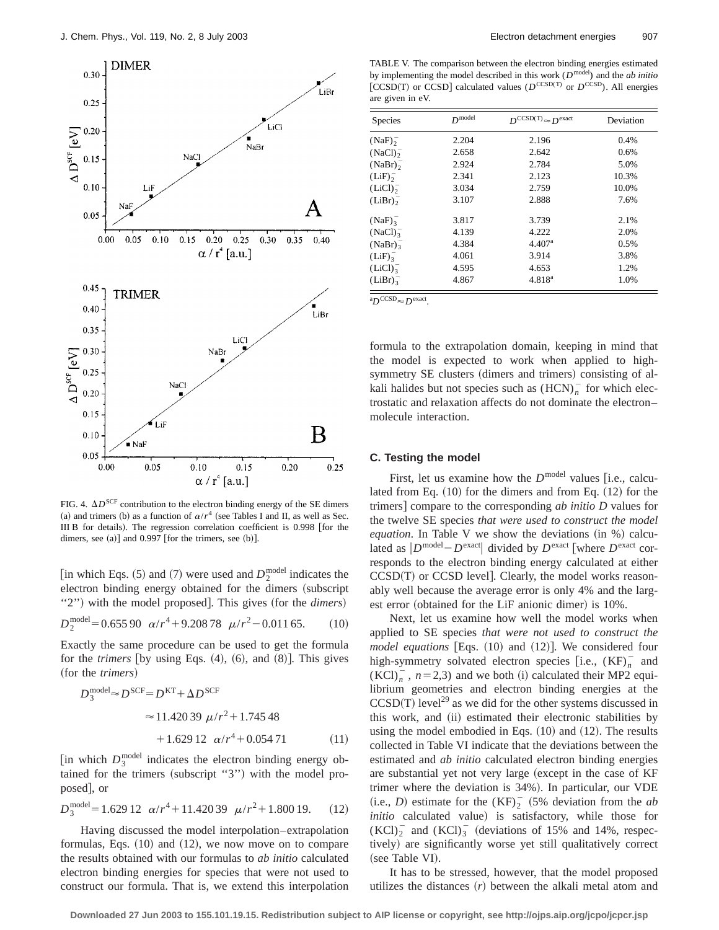

FIG. 4.  $\Delta D^{\text{SCF}}$  contribution to the electron binding energy of the SE dimers (a) and trimers (b) as a function of  $\alpha/r^4$  (see Tables I and II, as well as Sec. III B for details). The regression correlation coefficient is  $0.998$  [for the dimers, see  $(a)$ ] and 0.997 [for the trimers, see  $(b)$ ].

[in which Eqs.  $(5)$  and  $(7)$  were used and  $D_2^{\text{model}}$  indicates the electron binding energy obtained for the dimers (subscript "2") with the model proposed]. This gives (for the *dimers*)

$$
D_2^{\text{model}} = 0.655\,90 \ \alpha/r^4 + 9.208\,78 \ \mu/r^2 - 0.011\,65. \tag{10}
$$

Exactly the same procedure can be used to get the formula for the *trimers* [by using Eqs.  $(4)$ ,  $(6)$ , and  $(8)$ ]. This gives (for the *trimers*)

$$
D_3^{\text{model}} \approx D^{\text{SCF}} = D^{\text{KT}} + \Delta D^{\text{SCF}}
$$
  

$$
\approx 11.42039 \ \mu/r^2 + 1.74548
$$
  

$$
+ 1.62912 \ \alpha/r^4 + 0.05471 \tag{11}
$$

[in which  $D_3^{\text{model}}$  indicates the electron binding energy obtained for the trimers (subscript "3") with the model proposed], or

$$
D_3^{\text{model}} = 1.629 \ 12 \ \alpha/r^4 + 11.420 \ 39 \ \mu/r^2 + 1.800 \ 19. \tag{12}
$$

Having discussed the model interpolation–extrapolation formulas, Eqs.  $(10)$  and  $(12)$ , we now move on to compare the results obtained with our formulas to *ab initio* calculated electron binding energies for species that were not used to construct our formula. That is, we extend this interpolation

TABLE V. The comparison between the electron binding energies estimated by implementing the model described in this work (*D*model) and the *ab initio* [CCSD(T) or CCSD] calculated values ( $D^{\text{CCSD(T)}}$  or  $D^{\text{CCSD}}$ ). All energies are given in eV.

| <b>Species</b>      | $D$ <sup>model</sup> | $D^{CCSD(T)} \approx D^{\text{exact}}$ | Deviation |
|---------------------|----------------------|----------------------------------------|-----------|
| $(NaF)_{2}^{-}$     | 2.204                | 2.196                                  | 0.4%      |
| (NaCl) <sub>2</sub> | 2.658                | 2.642                                  | 0.6%      |
| $(NaBr)_{2}^{-}$    | 2.924                | 2.784                                  | 5.0%      |
| $(LiF)_{2}^{-}$     | 2.341                | 2.123                                  | 10.3%     |
| (LiCl) <sub>2</sub> | 3.034                | 2.759                                  | 10.0%     |
| $(LiBr)_{2}^{-}$    | 3.107                | 2.888                                  | 7.6%      |
| (NaF) <sub>3</sub>  | 3.817                | 3.739                                  | 2.1%      |
| (NaCl) <sub>3</sub> | 4.139                | 4.222                                  | 2.0%      |
| $(NaBr)_{3}^{-}$    | 4.384                | 4.407 <sup>a</sup>                     | 0.5%      |
| (LiF) <sub>3</sub>  | 4.061                | 3.914                                  | 3.8%      |
| (LiCl) <sub>3</sub> | 4.595                | 4.653                                  | 1.2%      |
| $(LiBr)^{-}$        | 4.867                | $4.818^{a}$                            | 1.0%      |

 ${}^{\rm a}D^{\rm CCSD}$  $\approx$   $D^{\rm exact}$ .

formula to the extrapolation domain, keeping in mind that the model is expected to work when applied to highsymmetry SE clusters (dimers and trimers) consisting of alkali halides but not species such as  $(HCN)_n^-$  for which electrostatic and relaxation affects do not dominate the electron– molecule interaction.

#### **C. Testing the model**

First, let us examine how the  $D^{\text{model}}$  values [i.e., calculated from Eq.  $(10)$  for the dimers and from Eq.  $(12)$  for the trimers] compare to the corresponding *ab initio D* values for the twelve SE species *that were used to construct the model*  $equation. In Table V we show the deviations (in  $\%$ ) calcu$ lated as  $|D^{\text{model}} - D^{\text{exact}}|$  divided by  $D^{\text{exact}}$  [where  $D^{\text{exact}}$  corresponds to the electron binding energy calculated at either  $CCSD(T)$  or  $CCSD$  level]. Clearly, the model works reasonably well because the average error is only 4% and the largest error (obtained for the LiF anionic dimer) is  $10\%$ .

Next, let us examine how well the model works when applied to SE species *that were not used to construct the model equations*  $\text{Eqs. (10) and (12)}$ . We considered four high-symmetry solvated electron species [i.e.,  $(KF)^{-}_{n}$  and  $(KCl)<sub>n</sub>$ ,  $n=2,3$ ) and we both (i) calculated their MP2 equilibrium geometries and electron binding energies at the  $CCSD(T)$  level<sup>29</sup> as we did for the other systems discussed in this work, and (ii) estimated their electronic stabilities by using the model embodied in Eqs.  $(10)$  and  $(12)$ . The results collected in Table VI indicate that the deviations between the estimated and *ab initio* calculated electron binding energies are substantial yet not very large (except in the case of KF trimer where the deviation is 34%). In particular, our VDE  $(i.e., D)$  estimate for the  $(KF)<sub>2</sub>$  (5% deviation from the *ab initio* calculated value) is satisfactory, while those for  $(KCl)<sub>2</sub><sup>-</sup>$  and  $(KCl)<sub>3</sub><sup>-</sup>$  (deviations of 15% and 14%, respectively) are significantly worse yet still qualitatively correct (see Table VI).

It has to be stressed, however, that the model proposed utilizes the distances  $(r)$  between the alkali metal atom and